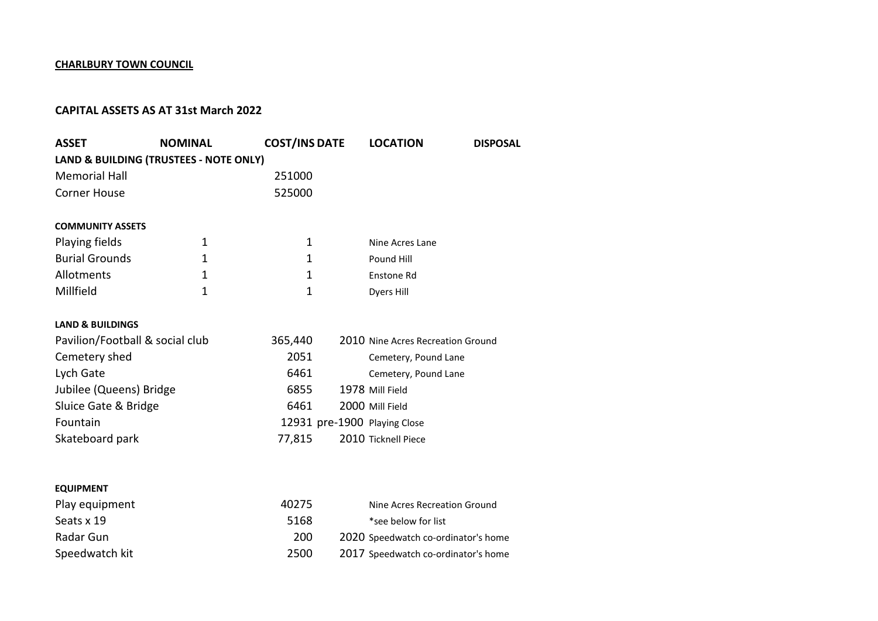## **CHARLBURY TOWN COUNCIL**

## **CAPITAL ASSETS AS AT 31st March 2022**

| <b>ASSET</b>                           | <b>NOMINAL</b> | <b>COST/INS DATE</b>         |                                     | <b>LOCATION</b>              | <b>DISPOSAL</b> |  |  |
|----------------------------------------|----------------|------------------------------|-------------------------------------|------------------------------|-----------------|--|--|
| LAND & BUILDING (TRUSTEES - NOTE ONLY) |                |                              |                                     |                              |                 |  |  |
| <b>Memorial Hall</b>                   |                | 251000                       |                                     |                              |                 |  |  |
| <b>Corner House</b>                    |                | 525000                       |                                     |                              |                 |  |  |
| <b>COMMUNITY ASSETS</b>                |                |                              |                                     |                              |                 |  |  |
| Playing fields                         | 1              | 1                            |                                     | Nine Acres Lane              |                 |  |  |
| <b>Burial Grounds</b>                  | $\mathbf{1}$   | $\mathbf 1$                  |                                     | Pound Hill                   |                 |  |  |
| Allotments                             | 1              | 1                            |                                     | Enstone Rd                   |                 |  |  |
| Millfield                              | $\mathbf{1}$   | $\mathbf{1}$                 |                                     | Dyers Hill                   |                 |  |  |
| <b>LAND &amp; BUILDINGS</b>            |                |                              |                                     |                              |                 |  |  |
| Pavilion/Football & social club        |                | 365,440                      | 2010 Nine Acres Recreation Ground   |                              |                 |  |  |
| Cemetery shed                          | 2051           | Cemetery, Pound Lane         |                                     |                              |                 |  |  |
| Lych Gate                              | 6461           |                              | Cemetery, Pound Lane                |                              |                 |  |  |
| Jubilee (Queens) Bridge                | 6855           |                              | 1978 Mill Field                     |                              |                 |  |  |
| Sluice Gate & Bridge                   |                | 6461                         |                                     | 2000 Mill Field              |                 |  |  |
| Fountain                               |                | 12931 pre-1900 Playing Close |                                     |                              |                 |  |  |
| Skateboard park                        |                | 77,815                       | 2010 Ticknell Piece                 |                              |                 |  |  |
|                                        |                |                              |                                     |                              |                 |  |  |
| <b>EQUIPMENT</b>                       |                |                              |                                     |                              |                 |  |  |
| Play equipment                         |                | 40275                        |                                     | Nine Acres Recreation Ground |                 |  |  |
| Seats x 19                             | 5168           |                              | *see below for list                 |                              |                 |  |  |
| Radar Gun                              | 200            |                              | 2020 Speedwatch co-ordinator's home |                              |                 |  |  |

Speedwatch kit 2500 2017 Speedwatch co-ordinator's home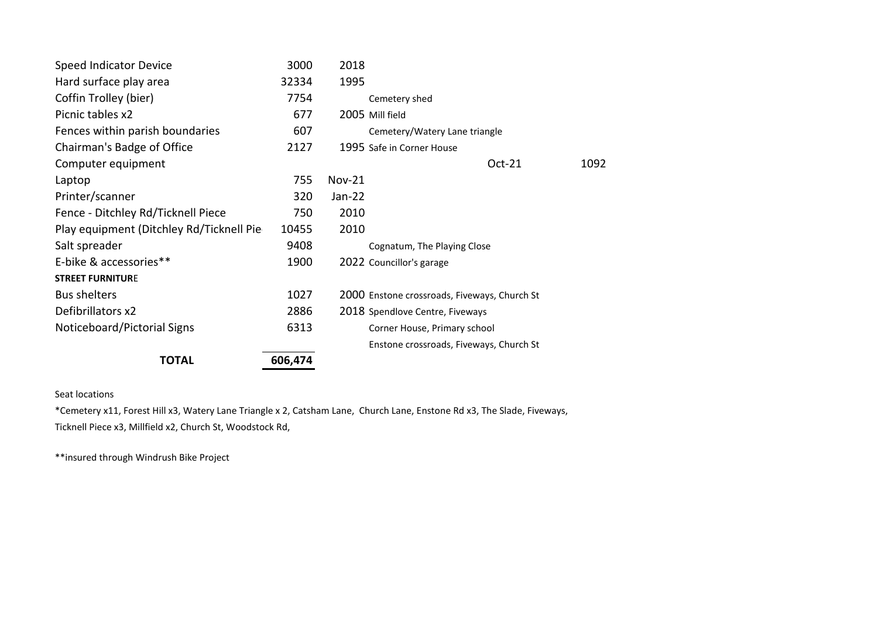| <b>Speed Indicator Device</b>            | 3000    | 2018                                         |
|------------------------------------------|---------|----------------------------------------------|
| Hard surface play area                   | 32334   | 1995                                         |
| Coffin Trolley (bier)                    | 7754    | Cemetery shed                                |
| Picnic tables x2                         | 677     | 2005 Mill field                              |
| Fences within parish boundaries          | 607     | Cemetery/Watery Lane triangle                |
| Chairman's Badge of Office               | 2127    | 1995 Safe in Corner House                    |
| Computer equipment                       |         | 1092<br>Oct-21                               |
| Laptop                                   | 755     | <b>Nov-21</b>                                |
| Printer/scanner                          | 320     | Jan-22                                       |
| Fence - Ditchley Rd/Ticknell Piece       | 750     | 2010                                         |
| Play equipment (Ditchley Rd/Ticknell Pie | 10455   | 2010                                         |
| Salt spreader                            | 9408    | Cognatum, The Playing Close                  |
| E-bike & accessories**                   | 1900    | 2022 Councillor's garage                     |
| <b>STREET FURNITURE</b>                  |         |                                              |
| <b>Bus shelters</b>                      | 1027    | 2000 Enstone crossroads, Fiveways, Church St |
| Defibrillators x2                        | 2886    | 2018 Spendlove Centre, Fiveways              |
| Noticeboard/Pictorial Signs              | 6313    | Corner House, Primary school                 |
|                                          |         | Enstone crossroads, Fiveways, Church St      |
| <b>TOTAL</b>                             | 606,474 |                                              |

## Seat locations

\*Cemetery x11, Forest Hill x3, Watery Lane Triangle x 2, Catsham Lane, Church Lane, Enstone Rd x3, The Slade, Fiveways, Ticknell Piece x3, Millfield x2, Church St, Woodstock Rd,

\*\*insured through Windrush Bike Project